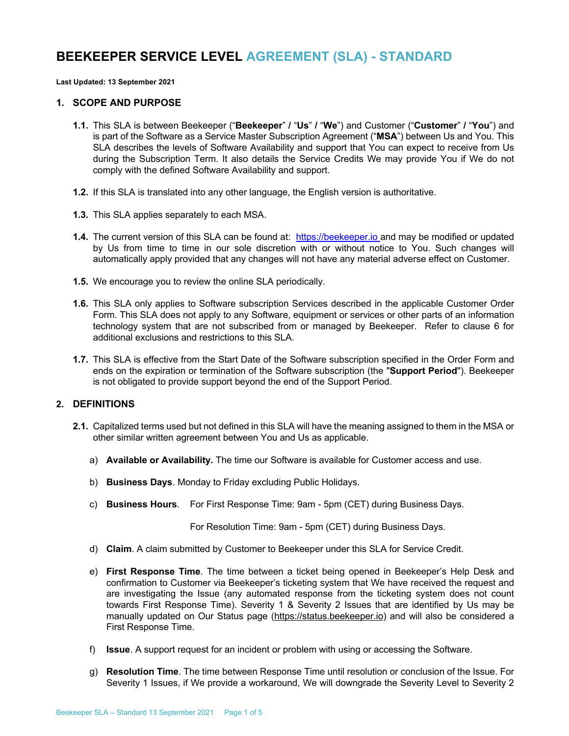# **BEEKEEPER SERVICE LEVEL AGREEMENT (SLA) - STANDARD**

**Last Updated: 13 September 2021**

#### **1. SCOPE AND PURPOSE**

- **1.1.** This SLA is between Beekeeper ("**Beekeeper**" **/** "**Us**" **/** "**We**") and Customer ("**Customer**" **/** "**You**") and is part of the Software as a Service Master Subscription Agreement ("**MSA**") between Us and You. This SLA describes the levels of Software Availability and support that You can expect to receive from Us during the Subscription Term. It also details the Service Credits We may provide You if We do not comply with the defined Software Availability and support.
- **1.2.** If this SLA is translated into any other language, the English version is authoritative.
- **1.3.** This SLA applies separately to each MSA.
- **1.4.** The current version of this SLA can be found at: https://beekeeper.io and may be modified or updated by Us from time to time in our sole discretion with or without notice to You. Such changes will automatically apply provided that any changes will not have any material adverse effect on Customer.
- **1.5.** We encourage you to review the online SLA periodically.
- **1.6.** This SLA only applies to Software subscription Services described in the applicable Customer Order Form. This SLA does not apply to any Software, equipment or services or other parts of an information technology system that are not subscribed from or managed by Beekeeper. Refer to clause 6 for additional exclusions and restrictions to this SLA.
- **1.7.** This SLA is effective from the Start Date of the Software subscription specified in the Order Form and ends on the expiration or termination of the Software subscription (the "**Support Period**"). Beekeeper is not obligated to provide support beyond the end of the Support Period.

# **2. DEFINITIONS**

- **2.1.** Capitalized terms used but not defined in this SLA will have the meaning assigned to them in the MSA or other similar written agreement between You and Us as applicable.
	- a) **Available or Availability.** The time our Software is available for Customer access and use.
	- b) **Business Days**. Monday to Friday excluding Public Holidays.
	- c) **Business Hours**. For First Response Time: 9am 5pm (CET) during Business Days.

For Resolution Time: 9am - 5pm (CET) during Business Days.

- d) **Claim**. A claim submitted by Customer to Beekeeper under this SLA for Service Credit.
- e) **First Response Time**. The time between a ticket being opened in Beekeeper's Help Desk and confirmation to Customer via Beekeeper's ticketing system that We have received the request and are investigating the Issue (any automated response from the ticketing system does not count towards First Response Time). Severity 1 & Severity 2 Issues that are identified by Us may be manually updated on Our Status page (https://status.beekeeper.io) and will also be considered a First Response Time.
- f) **Issue**. A support request for an incident or problem with using or accessing the Software.
- g) **Resolution Time**. The time between Response Time until resolution or conclusion of the Issue. For Severity 1 Issues, if We provide a workaround, We will downgrade the Severity Level to Severity 2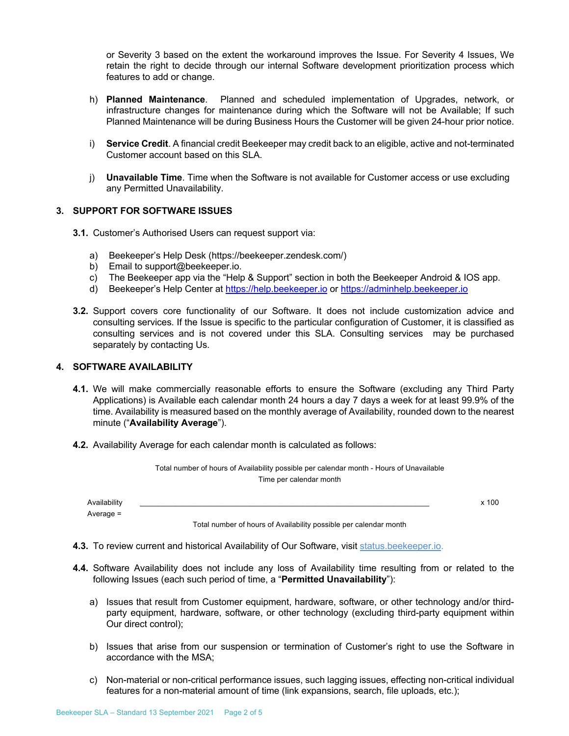or Severity 3 based on the extent the workaround improves the Issue. For Severity 4 Issues, We retain the right to decide through our internal Software development prioritization process which features to add or change.

- h) **Planned Maintenance**. Planned and scheduled implementation of Upgrades, network, or infrastructure changes for maintenance during which the Software will not be Available; If such Planned Maintenance will be during Business Hours the Customer will be given 24-hour prior notice.
- i) **Service Credit**. A financial credit Beekeeper may credit back to an eligible, active and not-terminated Customer account based on this SLA.
- j) **Unavailable Time**. Time when the Software is not available for Customer access or use excluding any Permitted Unavailability.

### **3. SUPPORT FOR SOFTWARE ISSUES**

- **3.1.** Customer's Authorised Users can request support via:
	- a) Beekeeper's Help Desk (https://beekeeper.zendesk.com/)
	- b) Email to support@beekeeper.io.
	- c) The Beekeeper app via the "Help & Support" section in both the Beekeeper Android & IOS app.
	- d) Beekeeper's Help Center at https://help.beekeeper.io or https://adminhelp.beekeeper.io
- **3.2.** Support covers core functionality of our Software. It does not include customization advice and consulting services. If the Issue is specific to the particular configuration of Customer, it is classified as consulting services and is not covered under this SLA. Consulting services may be purchased separately by contacting Us.

## **4. SOFTWARE AVAILABILITY**

- **4.1.** We will make commercially reasonable efforts to ensure the Software (excluding any Third Party Applications) is Available each calendar month 24 hours a day 7 days a week for at least 99.9% of the time. Availability is measured based on the monthly average of Availability, rounded down to the nearest minute ("**Availability Average**").
- **4.2.** Availability Average for each calendar month is calculated as follows:

|                             | Total number of hours of Availability possible per calendar month - Hours of Unavailable<br>Time per calendar month |         |
|-----------------------------|---------------------------------------------------------------------------------------------------------------------|---------|
| Availability<br>Average $=$ |                                                                                                                     | $x$ 100 |
|                             | Total number of hours of Availability possible per calendar month                                                   |         |

**4.3.** To review current and historical Availability of Our Software, visit status.beekeeper.io.

- **4.4.** Software Availability does not include any loss of Availability time resulting from or related to the following Issues (each such period of time, a "**Permitted Unavailability**"):
	- a) Issues that result from Customer equipment, hardware, software, or other technology and/or thirdparty equipment, hardware, software, or other technology (excluding third-party equipment within Our direct control);
	- b) Issues that arise from our suspension or termination of Customer's right to use the Software in accordance with the MSA;
	- c) Non-material or non-critical performance issues, such lagging issues, effecting non-critical individual features for a non-material amount of time (link expansions, search, file uploads, etc.);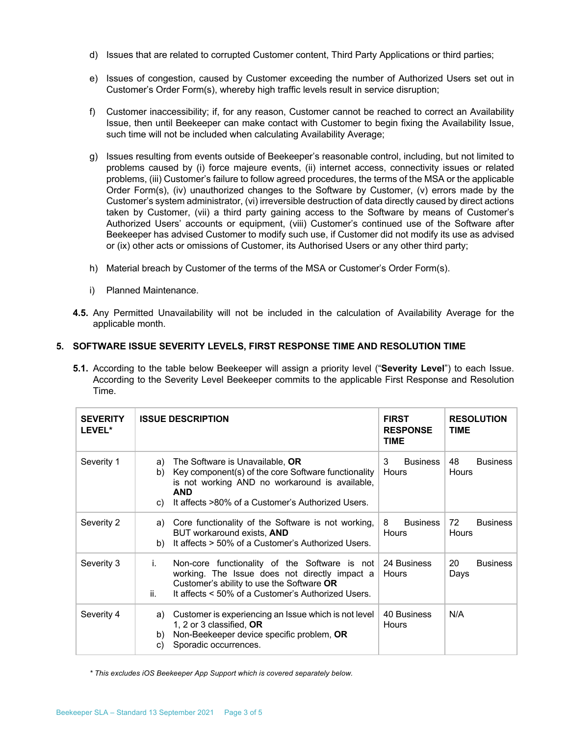- d) Issues that are related to corrupted Customer content, Third Party Applications or third parties;
- e) Issues of congestion, caused by Customer exceeding the number of Authorized Users set out in Customer's Order Form(s), whereby high traffic levels result in service disruption;
- f) Customer inaccessibility; if, for any reason, Customer cannot be reached to correct an Availability Issue, then until Beekeeper can make contact with Customer to begin fixing the Availability Issue, such time will not be included when calculating Availability Average;
- g) Issues resulting from events outside of Beekeeper's reasonable control, including, but not limited to problems caused by (i) force majeure events, (ii) internet access, connectivity issues or related problems, (iii) Customer's failure to follow agreed procedures, the terms of the MSA or the applicable Order Form(s), (iv) unauthorized changes to the Software by Customer, (v) errors made by the Customer's system administrator, (vi) irreversible destruction of data directly caused by direct actions taken by Customer, (vii) a third party gaining access to the Software by means of Customer's Authorized Users' accounts or equipment, (viii) Customer's continued use of the Software after Beekeeper has advised Customer to modify such use, if Customer did not modify its use as advised or (ix) other acts or omissions of Customer, its Authorised Users or any other third party;
- h) Material breach by Customer of the terms of the MSA or Customer's Order Form(s).
- i) Planned Maintenance.
- **4.5.** Any Permitted Unavailability will not be included in the calculation of Availability Average for the applicable month.

## **5. SOFTWARE ISSUE SEVERITY LEVELS, FIRST RESPONSE TIME AND RESOLUTION TIME**

**5.1.** According to the table below Beekeeper will assign a priority level ("**Severity Level**") to each Issue. According to the Severity Level Beekeeper commits to the applicable First Response and Resolution Time.

| <b>SEVERITY</b><br>LEVEL* | <b>ISSUE DESCRIPTION</b>                                                                                                                                                                                                      | <b>FIRST</b><br><b>RESPONSE</b><br><b>TIME</b> | <b>RESOLUTION</b><br><b>TIME</b> |
|---------------------------|-------------------------------------------------------------------------------------------------------------------------------------------------------------------------------------------------------------------------------|------------------------------------------------|----------------------------------|
| Severity 1                | The Software is Unavailable, OR<br>a)<br>Key component(s) of the core Software functionality<br>b)<br>is not working AND no workaround is available,<br><b>AND</b><br>It affects >80% of a Customer's Authorized Users.<br>C) | 3<br><b>Business</b><br>Hours                  | 48<br><b>Business</b><br>Hours   |
| Severity 2                | Core functionality of the Software is not working,<br>a)<br>BUT workaround exists, AND<br>It affects > 50% of a Customer's Authorized Users.<br>b)                                                                            | 8<br><b>Business</b><br>Hours                  | 72<br><b>Business</b><br>Hours   |
| Severity 3                | i.<br>Non-core functionality of the Software is not<br>working. The Issue does not directly impact a<br>Customer's ability to use the Software OR<br>It affects < 50% of a Customer's Authorized Users.<br>ii.                | 24 Business<br>Hours                           | 20<br><b>Business</b><br>Days    |
| Severity 4                | Customer is experiencing an Issue which is not level<br>a)<br>1, 2 or 3 classified, OR<br>Non-Beekeeper device specific problem, OR<br>b)<br>Sporadic occurrences.<br>C)                                                      | 40 Business<br>Hours                           | N/A                              |

*\* This excludes iOS Beekeeper App Support which is covered separately below.*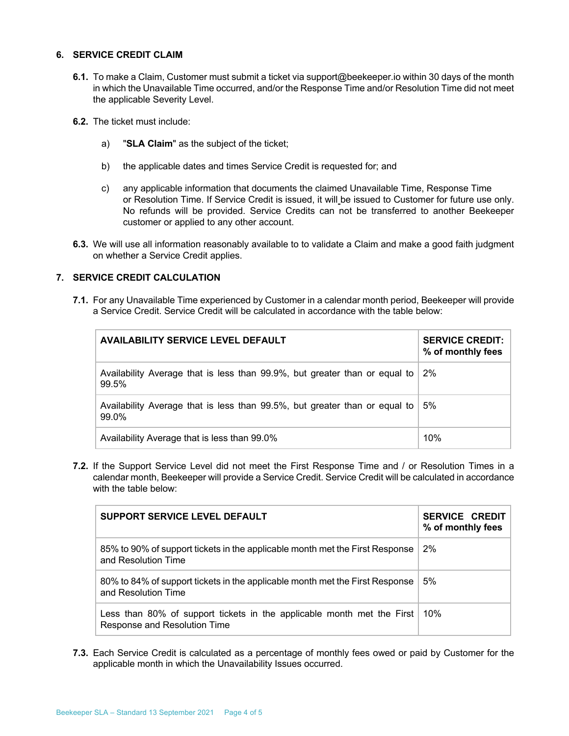### **6. SERVICE CREDIT CLAIM**

- **6.1.** To make a Claim, Customer must submit a ticket via support@beekeeper.io within 30 days of the month in which the Unavailable Time occurred, and/or the Response Time and/or Resolution Time did not meet the applicable Severity Level.
- **6.2.** The ticket must include:
	- a) "**SLA Claim**" as the subject of the ticket;
	- b) the applicable dates and times Service Credit is requested for; and
	- c) any applicable information that documents the claimed Unavailable Time, Response Time or Resolution Time. If Service Credit is issued, it will be issued to Customer for future use only. No refunds will be provided. Service Credits can not be transferred to another Beekeeper customer or applied to any other account.
- **6.3.** We will use all information reasonably available to to validate a Claim and make a good faith judgment on whether a Service Credit applies.

## **7. SERVICE CREDIT CALCULATION**

**7.1.** For any Unavailable Time experienced by Customer in a calendar month period, Beekeeper will provide a Service Credit. Service Credit will be calculated in accordance with the table below:

| <b>AVAILABILITY SERVICE LEVEL DEFAULT</b>                                           | <b>SERVICE CREDIT:</b><br>% of monthly fees |
|-------------------------------------------------------------------------------------|---------------------------------------------|
| Availability Average that is less than 99.9%, but greater than or equal to<br>99.5% | 2%                                          |
| Availability Average that is less than 99.5%, but greater than or equal to<br>99.0% | 5%                                          |
| Availability Average that is less than 99.0%                                        | 10%                                         |

**7.2.** If the Support Service Level did not meet the First Response Time and / or Resolution Times in a calendar month, Beekeeper will provide a Service Credit. Service Credit will be calculated in accordance with the table below:

| SUPPORT SERVICE LEVEL DEFAULT                                                                          | <b>SERVICE CREDIT</b><br>% of monthly fees |
|--------------------------------------------------------------------------------------------------------|--------------------------------------------|
| 85% to 90% of support tickets in the applicable month met the First Response<br>and Resolution Time    | 2%                                         |
| 80% to 84% of support tickets in the applicable month met the First Response<br>and Resolution Time    | 5%                                         |
| Less than 80% of support tickets in the applicable month met the First<br>Response and Resolution Time | 10%                                        |

**7.3.** Each Service Credit is calculated as a percentage of monthly fees owed or paid by Customer for the applicable month in which the Unavailability Issues occurred.